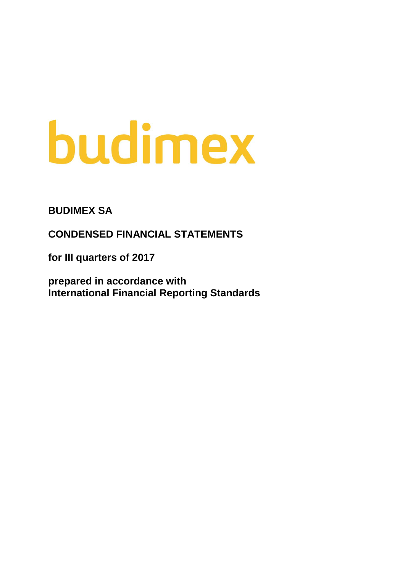# budimex

**BUDIMEX SA**

**CONDENSED FINANCIAL STATEMENTS**

**for III quarters of 2017**

**prepared in accordance with International Financial Reporting Standards**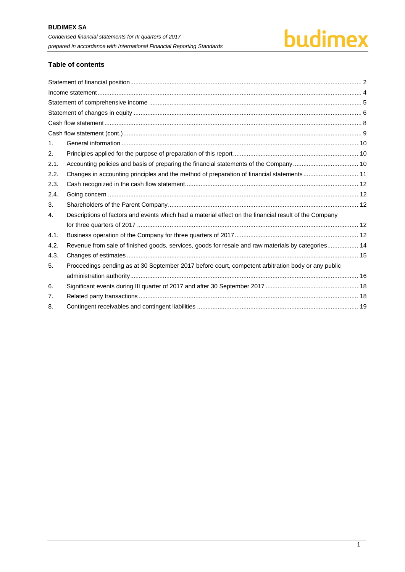## budimex

#### **Table of contents**

| $\mathbf{1}$ . |                                                                                                       |  |
|----------------|-------------------------------------------------------------------------------------------------------|--|
| 2.             |                                                                                                       |  |
| 2.1.           |                                                                                                       |  |
| 2.2.           | Changes in accounting principles and the method of preparation of financial statements 11             |  |
| 2.3.           |                                                                                                       |  |
| 2.4.           |                                                                                                       |  |
| 3.             |                                                                                                       |  |
| 4.             | Descriptions of factors and events which had a material effect on the financial result of the Company |  |
|                |                                                                                                       |  |
| 4.1.           |                                                                                                       |  |
| 4.2.           | Revenue from sale of finished goods, services, goods for resale and raw materials by categories 14    |  |
| 4.3.           |                                                                                                       |  |
| 5.             | Proceedings pending as at 30 September 2017 before court, competent arbitration body or any public    |  |
|                |                                                                                                       |  |
| 6.             |                                                                                                       |  |
| 7.             |                                                                                                       |  |
| 8.             |                                                                                                       |  |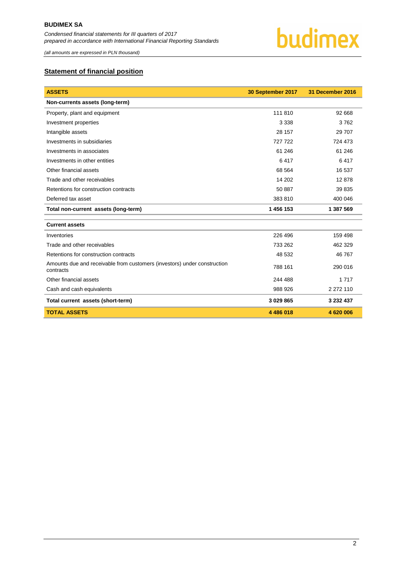

*(all amounts are expressed in PLN thousand)*

#### <span id="page-2-0"></span>**Statement of financial position**

| <b>ASSETS</b>                                                                         | 30 September 2017 | 31 December 2016 |
|---------------------------------------------------------------------------------------|-------------------|------------------|
| Non-currents assets (long-term)                                                       |                   |                  |
| Property, plant and equipment                                                         | 111 810           | 92 668           |
| Investment properties                                                                 | 3 3 3 8           | 3762             |
| Intangible assets                                                                     | 28 157            | 29 70 7          |
| Investments in subsidiaries                                                           | 727 722           | 724 473          |
| Investments in associates                                                             | 61 24 6           | 61 24 6          |
| Investments in other entities                                                         | 6417              | 6417             |
| Other financial assets                                                                | 68 564            | 16 537           |
| Trade and other receivables                                                           | 14 202            | 12878            |
| Retentions for construction contracts                                                 | 50 887            | 39 835           |
| Deferred tax asset                                                                    | 383810            | 400 046          |
| Total non-current assets (long-term)                                                  | 1456153           | 1 387 569        |
| <b>Current assets</b>                                                                 |                   |                  |
|                                                                                       |                   |                  |
| Inventories                                                                           | 226 496           | 159 498          |
| Trade and other receivables                                                           | 733 262           | 462 329          |
| Retentions for construction contracts                                                 | 48 532            | 46 767           |
| Amounts due and receivable from customers (investors) under construction<br>contracts | 788 161           | 290 016          |
| Other financial assets                                                                | 244 488           | 1 7 1 7          |
| Cash and cash equivalents                                                             | 988 926           | 2 272 110        |
| Total current assets (short-term)                                                     | 3 029 865         | 3 232 437        |
| <b>TOTAL ASSETS</b>                                                                   | 4 486 018         | 4 620 006        |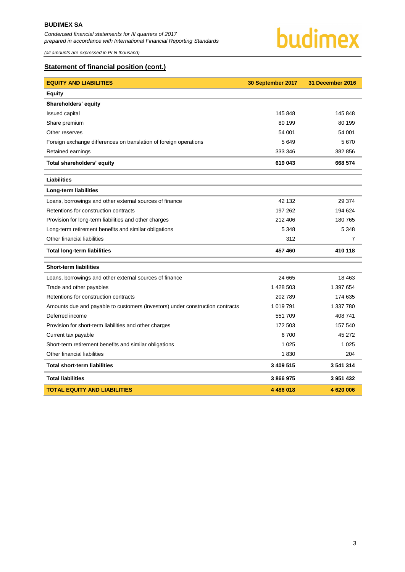*(all amounts are expressed in PLN thousand)*



#### **Statement of financial position (cont.)**

| <b>EQUITY AND LIABILITIES</b>                                                 | 30 September 2017 | 31 December 2016 |
|-------------------------------------------------------------------------------|-------------------|------------------|
| <b>Equity</b>                                                                 |                   |                  |
| Shareholders' equity                                                          |                   |                  |
| Issued capital                                                                | 145 848           | 145 848          |
| Share premium                                                                 | 80 199            | 80 199           |
| Other reserves                                                                | 54 001            | 54 001           |
| Foreign exchange differences on translation of foreign operations             | 5649              | 5670             |
| Retained earnings                                                             | 333 346           | 382 856          |
| Total shareholders' equity                                                    | 619 043           | 668 574          |
| Liabilities                                                                   |                   |                  |
| Long-term liabilities                                                         |                   |                  |
| Loans, borrowings and other external sources of finance                       | 42 132            | 29 374           |
| Retentions for construction contracts                                         | 197 262           | 194 624          |
| Provision for long-term liabilities and other charges                         | 212 406           | 180 765          |
| Long-term retirement benefits and similar obligations                         | 5 3 4 8           | 5 3 4 8          |
| Other financial liabilities                                                   | 312               | 7                |
| <b>Total long-term liabilities</b>                                            | 457 460           | 410 118          |
| <b>Short-term liabilities</b>                                                 |                   |                  |
| Loans, borrowings and other external sources of finance                       | 24 665            | 18 463           |
| Trade and other payables                                                      | 1 428 503         | 1 397 654        |
| Retentions for construction contracts                                         | 202 789           | 174 635          |
| Amounts due and payable to customers (investors) under construction contracts | 1 019 791         | 1 337 780        |
| Deferred income                                                               | 551 709           | 408 741          |
| Provision for short-term liabilities and other charges                        | 172 503           | 157 540          |
| Current tax payable                                                           | 6700              | 45 272           |
| Short-term retirement benefits and similar obligations                        | 1 0 2 5           | 1 0 2 5          |
| Other financial liabilities                                                   | 1830              | 204              |
| <b>Total short-term liabilities</b>                                           | 3 409 515         | 3 541 314        |
| <b>Total liabilities</b>                                                      | 3866975           | 3 951 432        |
| <b>TOTAL EQUITY AND LIABILITIES</b>                                           | 4 486 018         | 4620006          |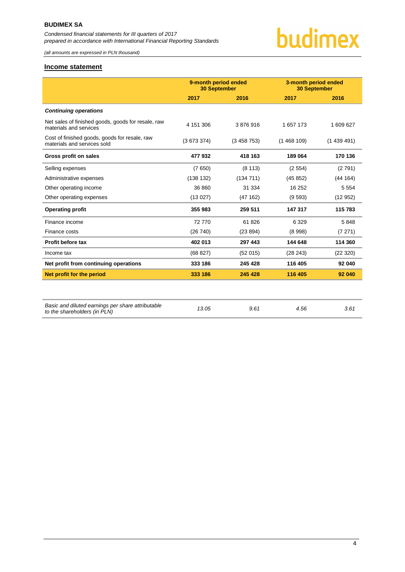*(all amounts are expressed in PLN thousand)*

#### <span id="page-4-0"></span>**Income statement**

|                                                                              | 9-month period ended<br><b>30 September</b> |           | 3-month period ended<br><b>30 September</b> |           |
|------------------------------------------------------------------------------|---------------------------------------------|-----------|---------------------------------------------|-----------|
|                                                                              | 2017                                        | 2016      | 2017                                        | 2016      |
| <b>Continuing operations</b>                                                 |                                             |           |                                             |           |
| Net sales of finished goods, goods for resale, raw<br>materials and services | 4 151 306                                   | 3876916   | 1 657 173                                   | 1 609 627 |
| Cost of finished goods, goods for resale, raw<br>materials and services sold | (3673374)                                   | (3458753) | (1468109)                                   | (1439491) |
| Gross profit on sales                                                        | 477932                                      | 418 163   | 189 064                                     | 170 136   |
| Selling expenses                                                             | (7650)                                      | (8113)    | (2554)                                      | (2791)    |
| Administrative expenses                                                      | (138 132)                                   | (134711)  | (45852)                                     | (44 164)  |
| Other operating income                                                       | 36 860                                      | 31 334    | 16 25 2                                     | 5 5 5 4   |
| Other operating expenses                                                     | (13027)                                     | (47162)   | (9593)                                      | (12952)   |
| <b>Operating profit</b>                                                      | 355 983                                     | 259 511   | 147 317                                     | 115 783   |
| Finance income                                                               | 72 770                                      | 61826     | 6 3 2 9                                     | 5848      |
| Finance costs                                                                | (26740)                                     | (23 894)  | (8998)                                      | (7271)    |
| Profit before tax                                                            | 402 013                                     | 297 443   | 144 648                                     | 114 360   |
| Income tax                                                                   | (68827)                                     | (52 015)  | (28 243)                                    | (22320)   |
| Net profit from continuing operations                                        | 333 186                                     | 245 428   | 116 405                                     | 92 040    |
| Net profit for the period                                                    | 333 186                                     | 245 428   | 116 405                                     | 92 040    |
|                                                                              |                                             |           |                                             |           |

| Basic and diluted earnings per share attributable<br>to the shareholders (in PLN) | 13.05 | 9.61 | 4.56 | 3.61 |
|-----------------------------------------------------------------------------------|-------|------|------|------|
|                                                                                   |       |      |      |      |

### 4

budimex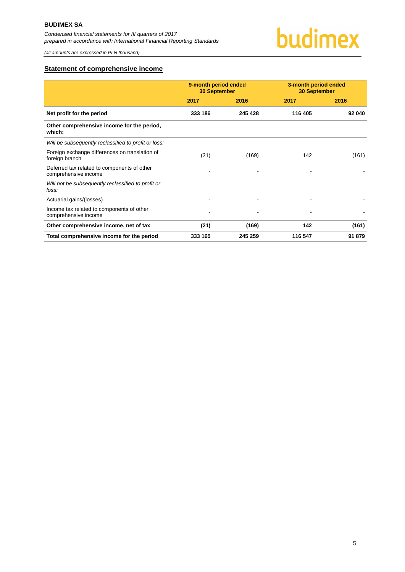#### <span id="page-5-0"></span>**Statement of comprehensive income**

|                                                                     | 9-month period ended<br><b>30 September</b> |         | 3-month period ended<br><b>30 September</b> |        |
|---------------------------------------------------------------------|---------------------------------------------|---------|---------------------------------------------|--------|
|                                                                     | 2017                                        | 2016    | 2017                                        | 2016   |
| Net profit for the period                                           | 333 186                                     | 245 428 | 116 405                                     | 92 040 |
| Other comprehensive income for the period,<br>which:                |                                             |         |                                             |        |
| Will be subsequently reclassified to profit or loss:                |                                             |         |                                             |        |
| Foreign exchange differences on translation of<br>foreign branch    | (21)                                        | (169)   | 142                                         | (161)  |
| Deferred tax related to components of other<br>comprehensive income |                                             |         |                                             |        |
| Will not be subsequently reclassified to profit or<br>loss:         |                                             |         |                                             |        |
| Actuarial gains/(losses)                                            |                                             |         |                                             |        |
| Income tax related to components of other<br>comprehensive income   |                                             |         |                                             |        |
| Other comprehensive income, net of tax                              | (21)                                        | (169)   | 142                                         | (161)  |
| Total comprehensive income for the period                           | 333 165                                     | 245 259 | 116 547                                     | 91 879 |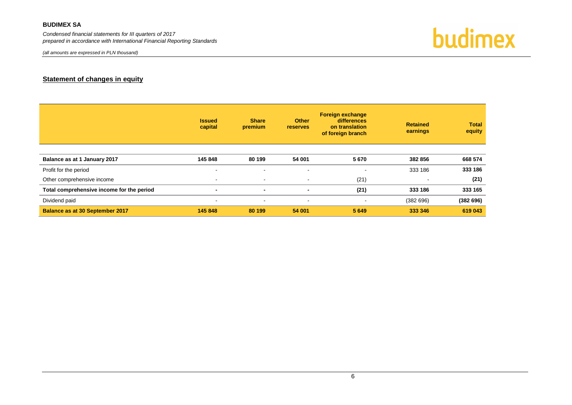#### **BUDIMEX SA**

*Condensed financial statements for III quarters of 2017 prepared in accordance with International Financial Reporting Standards*

*(all amounts are expressed in PLN thousand)*

budimex

#### **Statement of changes in equity**

<span id="page-6-0"></span>

|                                           | <b>Issued</b><br>capital | <b>Share</b><br>premium  | <b>Other</b><br><b>reserves</b> | <b>Foreign exchange</b><br>differences<br>on translation<br>of foreign branch | <b>Retained</b><br>earnings | <b>Total</b><br>equity |
|-------------------------------------------|--------------------------|--------------------------|---------------------------------|-------------------------------------------------------------------------------|-----------------------------|------------------------|
|                                           |                          |                          |                                 |                                                                               |                             |                        |
| Balance as at 1 January 2017              | 145 848                  | 80 199                   | 54 001                          | 5670                                                                          | 382 856                     | 668 574                |
| Profit for the period                     | $\overline{a}$           | $\blacksquare$           | $\sim$                          | $\blacksquare$                                                                | 333 186                     | 333 186                |
| Other comprehensive income                | $\blacksquare$           | $\overline{\phantom{a}}$ | $\sim$                          | (21)                                                                          |                             | (21)                   |
| Total comprehensive income for the period |                          | $\blacksquare$           | $\blacksquare$                  | (21)                                                                          | 333 186                     | 333 165                |
| Dividend paid                             | $\overline{\phantom{a}}$ | $\overline{\phantom{a}}$ | $\sim$                          | $\sim$                                                                        | (382696)                    | (382696)               |
| Balance as at 30 September 2017           | 145 848                  | 80 199                   | 54 001                          | 5 6 4 9                                                                       | 333 346                     | 619 043                |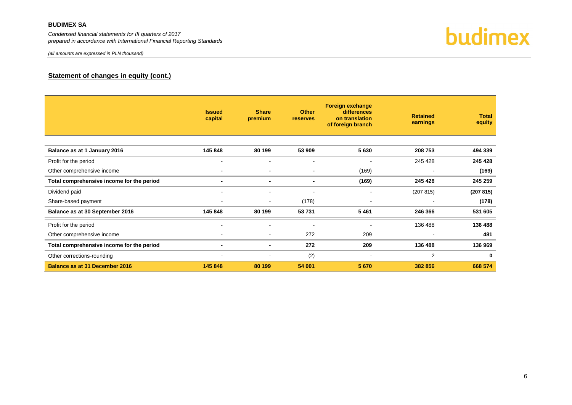#### **BUDIMEX SA**

*Condensed financial statements for III quarters of 2017 prepared in accordance with International Financial Reporting Standards*



#### **Statement of changes in equity (cont.)**

|                                           | <b>Issued</b><br>capital | <b>Share</b><br>premium  | <b>Other</b><br>reserves | <b>Foreign exchange</b><br>differences<br>on translation<br>of foreign branch | <b>Retained</b><br>earnings | <b>Total</b><br>equity |
|-------------------------------------------|--------------------------|--------------------------|--------------------------|-------------------------------------------------------------------------------|-----------------------------|------------------------|
| Balance as at 1 January 2016              | 145 848                  | 80 199                   | 53 909                   | 5630                                                                          | 208 753                     | 494 339                |
| Profit for the period                     |                          |                          | $\blacksquare$           |                                                                               | 245 428                     | 245 428                |
| Other comprehensive income                | $\blacksquare$           | $\overline{\phantom{a}}$ | $\blacksquare$           | (169)                                                                         | ٠                           | (169)                  |
| Total comprehensive income for the period | $\blacksquare$           | $\blacksquare$           | $\blacksquare$           | (169)                                                                         | 245 428                     | 245 259                |
| Dividend paid                             |                          |                          | $\blacksquare$           | ۰                                                                             | (207 815)                   | (207 815)              |
| Share-based payment                       | $\overline{\phantom{a}}$ | $\blacksquare$           | (178)                    | $\blacksquare$                                                                | ٠                           | (178)                  |
| Balance as at 30 September 2016           | 145 848                  | 80 199                   | 53 731                   | 5461                                                                          | 246 366                     | 531 605                |
| Profit for the period                     | $\blacksquare$           | $\overline{\phantom{a}}$ | $\blacksquare$           | $\blacksquare$                                                                | 136 488                     | 136 488                |
| Other comprehensive income                | $\overline{\phantom{a}}$ | $\blacksquare$           | 272                      | 209                                                                           | $\overline{\phantom{a}}$    | 481                    |
| Total comprehensive income for the period | $\blacksquare$           | ٠                        | 272                      | 209                                                                           | 136 488                     | 136 969                |
| Other corrections-rounding                | $\overline{\phantom{a}}$ |                          | (2)                      | $\overline{\phantom{a}}$                                                      | $\overline{2}$              | 0                      |
| <b>Balance as at 31 December 2016</b>     | 145 848                  | 80 199                   | 54 001                   | 5670                                                                          | 382 856                     | 668 574                |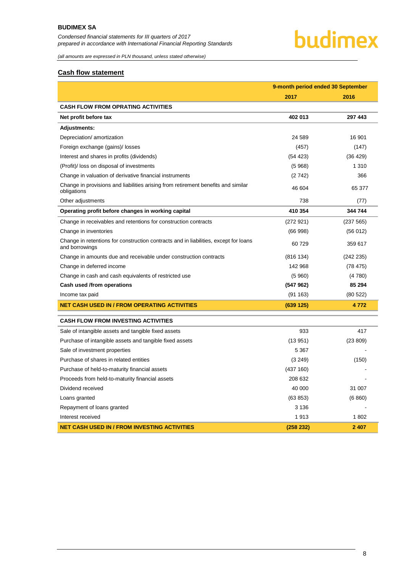### budimex

*(all amounts are expressed in PLN thousand, unless stated otherwise)*

#### <span id="page-8-0"></span>**Cash flow statement**

|                                                                                                        | 9-month period ended 30 September |           |  |
|--------------------------------------------------------------------------------------------------------|-----------------------------------|-----------|--|
|                                                                                                        | 2017                              | 2016      |  |
| <b>CASH FLOW FROM OPRATING ACTIVITIES</b>                                                              |                                   |           |  |
| Net profit before tax                                                                                  | 402 013                           | 297 443   |  |
| <b>Adjustments:</b>                                                                                    |                                   |           |  |
| Depreciation/ amortization                                                                             | 24 589                            | 16 901    |  |
| Foreign exchange (gains)/ losses                                                                       | (457)                             | (147)     |  |
| Interest and shares in profits (dividends)                                                             | (54 423)                          | (36 429)  |  |
| (Profit)/ loss on disposal of investments                                                              | (5968)                            | 1 3 1 0   |  |
| Change in valuation of derivative financial instruments                                                | (2742)                            | 366       |  |
| Change in provisions and liabilities arising from retirement benefits and similar<br>obligations       | 46 604                            | 65 377    |  |
| Other adjustments                                                                                      | 738                               | (77)      |  |
| Operating profit before changes in working capital                                                     | 410 354                           | 344 744   |  |
| Change in receivables and retentions for construction contracts                                        | (272921)                          | (237 565) |  |
| Change in inventories                                                                                  | (66998)                           | (56012)   |  |
| Change in retentions for construction contracts and in liabilities, except for loans<br>and borrowings | 60729                             | 359 617   |  |
| Change in amounts due and receivable under construction contracts                                      | (816 134)                         | (242 235) |  |
| Change in deferred income                                                                              | 142 968                           | (78, 475) |  |
| Change in cash and cash equivalents of restricted use                                                  | (5960)                            | (4780)    |  |
| Cash used /from operations                                                                             | (547962)                          | 85 294    |  |
| Income tax paid                                                                                        | (91163)                           | (80522)   |  |
| NET CASH USED IN / FROM OPERATING ACTIVITIES                                                           | (639 125)                         | 4772      |  |
| <b>CASH FLOW FROM INVESTING ACTIVITIES</b>                                                             |                                   |           |  |
| Sale of intangible assets and tangible fixed assets                                                    | 933                               | 417       |  |
| Purchase of intangible assets and tangible fixed assets                                                | (13951)                           | (23 809)  |  |
| Sale of investment properties                                                                          | 5 3 6 7                           |           |  |
| Purchase of shares in related entities                                                                 | (3 249)                           | (150)     |  |
| Purchase of held-to-maturity financial assets                                                          | (437 160)                         |           |  |
| Proceeds from held-to-maturity financial assets                                                        | 208 632                           |           |  |
| Dividend received                                                                                      | 40 000                            | 31 007    |  |
| Loans granted                                                                                          | (63 853)                          | (6 860)   |  |
| Repayment of loans granted                                                                             | 3 1 3 6                           |           |  |
| Interest received                                                                                      | 1913                              | 1802      |  |
| NET CASH USED IN / FROM INVESTING ACTIVITIES                                                           | (258 232)                         | 2 407     |  |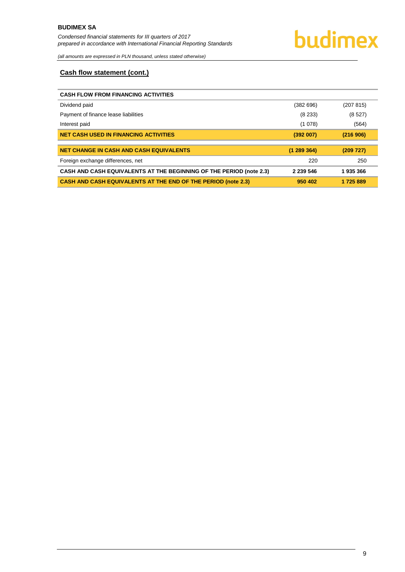

#### <span id="page-9-0"></span>**Cash flow statement (cont.)**

| <b>CASH FLOW FROM FINANCING ACTIVITIES</b>                                 |             |           |
|----------------------------------------------------------------------------|-------------|-----------|
| Dividend paid                                                              | (382696)    | (207 815) |
| Payment of finance lease liabilities                                       | (8233)      | (8527)    |
| Interest paid                                                              | (1078)      | (564)     |
| <b>NET CASH USED IN FINANCING ACTIVITIES</b>                               | (392007)    | (216906)  |
| <b>NET CHANGE IN CASH AND CASH EQUIVALENTS</b>                             | (1289364)   | (209 727) |
|                                                                            |             |           |
| Foreign exchange differences, net                                          | 220         | 250       |
| <b>CASH AND CASH EQUIVALENTS AT THE BEGINNING OF THE PERIOD (note 2.3)</b> | 2 2 3 5 4 6 | 1935366   |
| <b>CASH AND CASH EQUIVALENTS AT THE END OF THE PERIOD (note 2.3)</b>       | 950 402     | 1 725 889 |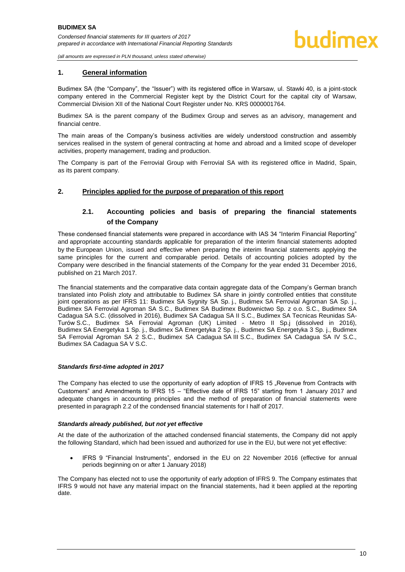#### <span id="page-10-0"></span>**1. General information**

Budimex SA (the "Company", the "Issuer") with its registered office in Warsaw, ul. Stawki 40, is a joint-stock company entered in the Commercial Register kept by the District Court for the capital city of Warsaw, Commercial Division XII of the National Court Register under No. KRS 0000001764.

Budimex SA is the parent company of the Budimex Group and serves as an advisory, management and financial centre.

The main areas of the Company's business activities are widely understood construction and assembly services realised in the system of general contracting at home and abroad and a limited scope of developer activities, property management, trading and production.

The Company is part of the Ferrovial Group with Ferrovial SA with its registered office in Madrid, Spain, as its parent company.

#### <span id="page-10-2"></span><span id="page-10-1"></span>**2. Principles applied for the purpose of preparation of this report**

#### **2.1. Accounting policies and basis of preparing the financial statements of the Company**

These condensed financial statements were prepared in accordance with IAS 34 "Interim Financial Reporting" and appropriate accounting standards applicable for preparation of the interim financial statements adopted by the European Union, issued and effective when preparing the interim financial statements applying the same principles for the current and comparable period. Details of accounting policies adopted by the Company were described in the financial statements of the Company for the year ended 31 December 2016, published on 21 March 2017.

The financial statements and the comparative data contain aggregate data of the Company's German branch translated into Polish zloty and attributable to Budimex SA share in jointly controlled entities that constitute joint operations as per IFRS 11: Budimex SA Sygnity SA Sp. j., Budimex SA Ferrovial Agroman SA Sp. j., Budimex SA Ferrovial Agroman SA S.C., Budimex SA Budimex Budownictwo Sp. z o.o. S.C., Budimex SA Cadagua SA S.C. (dissolved in 2016), Budimex SA Cadagua SA II S.C., Budimex SA Tecnicas Reunidas SA-Turów S.C., Budimex SA Ferrovial Agroman (UK) Limited - Metro II Sp.j (dissolved in 2016), Budimex SA Energetyka 1 Sp. j., Budimex SA Energetyka 2 Sp. j., Budimex SA Energetyka 3 Sp. j., Budimex SA Ferrovial Agroman SA 2 S.C., Budimex SA Cadagua SA III S.C., Budimex SA Cadagua SA IV S.C., Budimex SA Cadagua SA V S.C.

#### *Standards first-time adopted in 2017*

The Company has elected to use the opportunity of early adoption of IFRS 15 "Revenue from Contracts with Customers" and Amendments to IFRS 15 – "Effective date of IFRS 15" starting from 1 January 2017 and adequate changes in accounting principles and the method of preparation of financial statements were presented in paragraph 2.2 of the condensed financial statements for I half of 2017.

#### *Standards already published, but not yet effective*

At the date of the authorization of the attached condensed financial statements, the Company did not apply the following Standard, which had been issued and authorized for use in the EU, but were not yet effective:

 IFRS 9 "Financial Instruments", endorsed in the EU on 22 November 2016 (effective for annual periods beginning on or after 1 January 2018)

The Company has elected not to use the opportunity of early adoption of IFRS 9. The Company estimates that IFRS 9 would not have any material impact on the financial statements, had it been applied at the reporting date.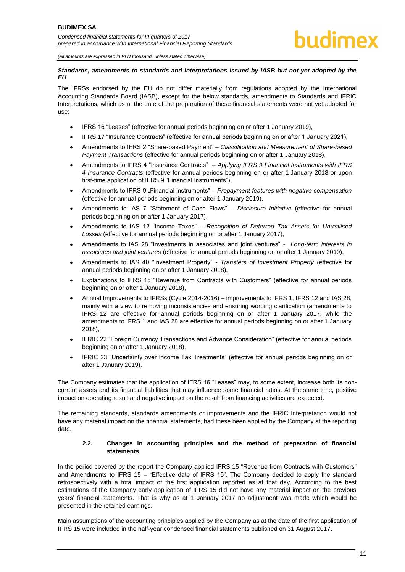#### *Standards, amendments to standards and interpretations issued by IASB but not yet adopted by the EU*

The IFRSs endorsed by the EU do not differ materially from regulations adopted by the International Accounting Standards Board (IASB), except for the below standards, amendments to Standards and IFRIC Interpretations, which as at the date of the preparation of these financial statements were not yet adopted for use:

- IFRS 16 "Leases" (effective for annual periods beginning on or after 1 January 2019),
- IFRS 17 "Insurance Contracts" (effective for annual periods beginning on or after 1 January 2021),
- Amendments to IFRS 2 "Share-based Payment" *Classification and Measurement of Share-based Payment Transactions* (effective for annual periods beginning on or after 1 January 2018),
- Amendments to IFRS 4 "Insurance Contracts" *Applying IFRS 9 Financial Instruments with IFRS 4 Insurance Contracts* (effective for annual periods beginning on or after 1 January 2018 or upon first-time application of IFRS 9 "Financial Instruments"),
- Amendments to IFRS 9 . Financial instruments" *Prepayment features with negative compensation* (effective for annual periods beginning on or after 1 January 2019),
- Amendments to IAS 7 "Statement of Cash Flows" *Disclosure Initiative* (effective for annual periods beginning on or after 1 January 2017),
- Amendments to IAS 12 "Income Taxes" *Recognition of Deferred Tax Assets for Unrealised Losses* (effective for annual periods beginning on or after 1 January 2017),
- Amendments to IAS 28 "Investments in associates and joint ventures" *Long-term interests in associates and joint ventures* (effective for annual periods beginning on or after 1 January 2019),
- Amendments to IAS 40 "Investment Property" *Transfers of Investment Property* (effective for annual periods beginning on or after 1 January 2018),
- Explanations to IFRS 15 "Revenue from Contracts with Customers" (effective for annual periods beginning on or after 1 January 2018),
- Annual Improvements to IFRSs (Cycle 2014-2016) improvements to IFRS 1, IFRS 12 and IAS 28, mainly with a view to removing inconsistencies and ensuring wording clarification (amendments to IFRS 12 are effective for annual periods beginning on or after 1 January 2017, while the amendments to IFRS 1 and IAS 28 are effective for annual periods beginning on or after 1 January 2018),
- IFRIC 22 "Foreign Currency Transactions and Advance Consideration" (effective for annual periods beginning on or after 1 January 2018),
- IFRIC 23 "Uncertainty over Income Tax Treatments" (effective for annual periods beginning on or after 1 January 2019).

The Company estimates that the application of IFRS 16 "Leases" may, to some extent, increase both its noncurrent assets and its financial liabilities that may influence some financial ratios. At the same time, positive impact on operating result and negative impact on the result from financing activities are expected.

The remaining standards, standards amendments or improvements and the IFRIC Interpretation would not have any material impact on the financial statements, had these been applied by the Company at the reporting date.

#### **2.2. Changes in accounting principles and the method of preparation of financial statements**

<span id="page-11-0"></span>In the period covered by the report the Company applied IFRS 15 "Revenue from Contracts with Customers" and Amendments to IFRS 15 – "Effective date of IFRS 15". The Company decided to apply the standard retrospectively with a total impact of the first application reported as at that day. According to the best estimations of the Company early application of IFRS 15 did not have any material impact on the previous years' financial statements. That is why as at 1 January 2017 no adjustment was made which would be presented in the retained earnings.

Main assumptions of the accounting principles applied by the Company as at the date of the first application of IFRS 15 were included in the half-year condensed financial statements published on 31 August 2017.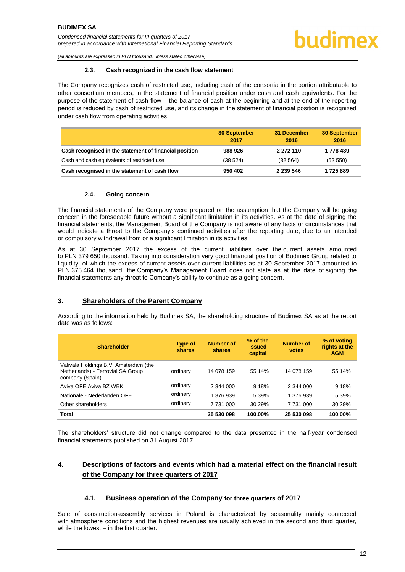<span id="page-12-0"></span>*(all amounts are expressed in PLN thousand, unless stated otherwise)*

#### **2.3. Cash recognized in the cash flow statement**

The Company recognizes cash of restricted use, including cash of the consortia in the portion attributable to other consortium members, in the statement of financial position under cash and cash equivalents. For the purpose of the statement of cash flow – the balance of cash at the beginning and at the end of the reporting period is reduced by cash of restricted use, and its change in the statement of financial position is recognized under cash flow from operating activities.

|                                                        | <b>30 September</b><br>2017 | 31 December<br>2016 | <b>30 September</b><br>2016 |
|--------------------------------------------------------|-----------------------------|---------------------|-----------------------------|
| Cash recognised in the statement of financial position | 988 926                     | 2 272 110           | 1 778 439                   |
| Cash and cash equivalents of restricted use            | (38 524)                    | (32 564)            | (52 550)                    |
| Cash recognised in the statement of cash flow          | 950 402                     | 2 2 3 5 4 6         | 1725889                     |

#### **2.4. Going concern**

<span id="page-12-1"></span>The financial statements of the Company were prepared on the assumption that the Company will be going concern in the foreseeable future without a significant limitation in its activities. As at the date of signing the financial statements, the Management Board of the Company is not aware of any facts or circumstances that would indicate a threat to the Company's continued activities after the reporting date, due to an intended or compulsory withdrawal from or a significant limitation in its activities.

As at 30 September 2017 the excess of the current liabilities over the current assets amounted to PLN 379 650 thousand. Taking into consideration very good financial position of Budimex Group related to liquidity, of which the excess of current assets over current liabilities as at 30 September 2017 amounted to PLN 375 464 thousand, the Company's Management Board does not state as at the date of signing the financial statements any threat to Company's ability to continue as a going concern.

#### <span id="page-12-2"></span>**3. Shareholders of the Parent Company**

According to the information held by Budimex SA, the shareholding structure of Budimex SA as at the report date was as follows:

| <b>Shareholder</b>                                                                            | Type of<br>shares | <b>Number of</b><br>shares | % of the<br>issued<br>capital | <b>Number of</b><br>votes | % of voting<br>rights at the<br><b>AGM</b> |
|-----------------------------------------------------------------------------------------------|-------------------|----------------------------|-------------------------------|---------------------------|--------------------------------------------|
| Valivala Holdings B.V. Amsterdam (the<br>Netherlands) - Ferrovial SA Group<br>company (Spain) | ordinary          | 14 078 159                 | 55.14%                        | 14 078 159                | 55.14%                                     |
| Aviva OFF Aviva BZ WBK                                                                        | ordinary          | 2 344 000                  | 9.18%                         | 2 344 000                 | 9.18%                                      |
| Nationale - Nederlanden OFE                                                                   | ordinary          | 1 376 939                  | 5.39%                         | 1 376 939                 | 5.39%                                      |
| Other shareholders                                                                            | ordinary          | 7 731 000                  | 30.29%                        | 7 731 000                 | 30.29%                                     |
| Total                                                                                         |                   | 25 530 098                 | 100.00%                       | 25 530 098                | 100.00%                                    |

The shareholders' structure did not change compared to the data presented in the half-year condensed financial statements published on 31 August 2017.

#### <span id="page-12-3"></span>**4. Descriptions of factors and events which had a material effect on the financial result of the Company for three quarters of 2017**

#### **4.1. Business operation of the Company for three quarters of 2017**

<span id="page-12-4"></span>Sale of construction-assembly services in Poland is characterized by seasonality mainly connected with atmosphere conditions and the highest revenues are usually achieved in the second and third quarter, while the lowest – in the first quarter.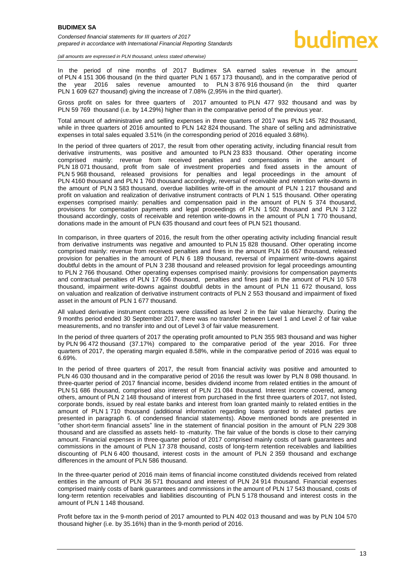In the period of nine months of 2017 Budimex SA earned sales revenue in the amount of PLN 4 151 306 thousand (in the third quarter PLN 1 657 173 thousand), and in the comparative period of the year 2016 sales revenue amounted to PLN 3 876 916 thousand (in the third quarter PLN 1 609 627 thousand) giving the increase of 7.08% (2,95% in the third quarter).

Gross profit on sales for three quarters of 2017 amounted to PLN 477 932 thousand and was by PLN 59 769 thousand (i.e. by 14.29%) higher than in the comparative period of the previous year.

Total amount of administrative and selling expenses in three quarters of 2017 was PLN 145 782 thousand, while in three quarters of 2016 amounted to PLN 142 824 thousand. The share of selling and administrative expenses in total sales equaled 3.51% (in the corresponding period of 2016 equaled 3.68%).

In the period of three quarters of 2017, the result from other operating activity, including financial result from derivative instruments, was positive and amounted to PLN 23 833 thousand. Other operating income comprised mainly: revenue from received penalties and compensations in the amount of PLN 18 071 thousand, profit from sale of investment properties and fixed assets in the amount of PLN 5 968 thousand, released provisions for penalties and legal proceedings in the amount of PLN 4160 thousand and PLN 1 760 thousand accordingly, reversal of receivable and retention write-downs in the amount of PLN 3 583 thousand, overdue liabilities write-off in the amount of PLN 1 217 thousand and profit on valuation and realization of derivative instrument contracts of PLN 1 515 thousand. Other operating expenses comprised mainly: penalties and compensation paid in the amount of PLN 5 374 thousand, provisions for compensation payments and legal proceedings of PLN 1 502 thousand and PLN 3 122 thousand accordingly, costs of receivable and retention write-downs in the amount of PLN 1 770 thousand, donations made in the amount of PLN 635 thousand and court fees of PLN 521 thousand.

In comparison, in three quarters of 2016, the result from the other operating activity including financial result from derivative instruments was negative and amounted to PLN 15 828 thousand. Other operating income comprised mainly: revenue from received penalties and fines in the amount PLN 16 657 thousand, released provision for penalties in the amount of PLN 6 189 thousand, reversal of impairment write-downs against doubtful debts in the amount of PLN 3 238 thousand and released provision for legal proceedings amounting to PLN 2 766 thousand. Other operating expenses comprised mainly: provisions for compensation payments and contractual penalties of PLN 17 656 thousand, penalties and fines paid in the amount of PLN 10 578 thousand, impairment write-downs against doubtful debts in the amount of PLN 11 672 thousand, loss on valuation and realization of derivative instrument contracts of PLN 2 553 thousand and impairment of fixed asset in the amount of PLN 1 677 thousand.

All valued derivative instrument contracts were classified as level 2 in the fair value hierarchy. During the 9 months period ended 30 September 2017, there was no transfer between Level 1 and Level 2 of fair value measurements, and no transfer into and out of Level 3 of fair value measurement.

In the period of three quarters of 2017 the operating profit amounted to PLN 355 983 thousand and was higher by PLN 96 472 thousand (37.17%) compared to the comparative period of the year 2016. For three quarters of 2017, the operating margin equaled 8.58%, while in the comparative period of 2016 was equal to 6.69%.

In the period of three quarters of 2017, the result from financial activity was positive and amounted to PLN 46 030 thousand and in the comparative period of 2016 the result was lower by PLN 8 098 thousand. In three-quarter period of 2017 financial income, besides dividend income from related entities in the amount of PLN 51 686 thousand, comprised also interest of PLN 21 084 thousand. Interest income covered, among others, amount of PLN 2 148 thousand of interest from purchased in the first three quarters of 2017, not listed, corporate bonds, issued by real estate banks and interest from loan granted mainly to related entities in the amount of PLN 1 710 thousand (additional information regarding loans granted to related parties are presented in paragraph 6. of condensed financial statements). Above mentioned bonds are presented in "other short-term financial assets" line in the statement of financial position in the amount of PLN 229 308 thousand and are classified as assets held- to -maturity. The fair value of the bonds is close to their carrying amount. Financial expenses in three-quarter period of 2017 comprised mainly costs of bank guarantees and commissions in the amount of PLN 17 378 thousand, costs of long-term retention receivables and liabilities discounting of PLN 6 400 thousand, interest costs in the amount of PLN 2 359 thousand and exchange differences in the amount of PLN 586 thousand.

In the three-quarter period of 2016 main items of financial income constituted dividends received from related entities in the amount of PLN 36 571 thousand and interest of PLN 24 914 thousand. Financial expenses comprised mainly costs of bank guarantees and commissions in the amount of PLN 17 543 thousand, costs of long-term retention receivables and liabilities discounting of PLN 5 178 thousand and interest costs in the amount of PLN 1 148 thousand.

Profit before tax in the 9-month period of 2017 amounted to PLN 402 013 thousand and was by PLN 104 570 thousand higher (i.e. by 35.16%) than in the 9-month period of 2016.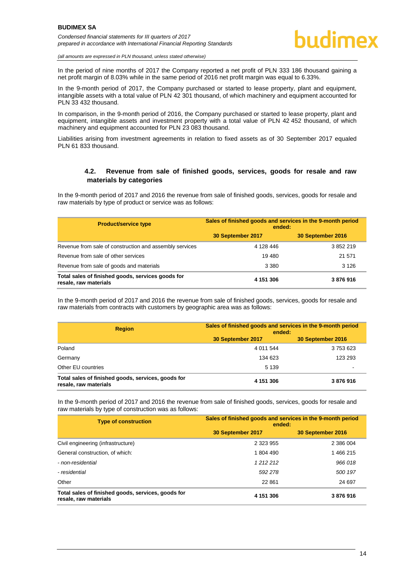In the period of nine months of 2017 the Company reported a net profit of PLN 333 186 thousand gaining a net profit margin of 8.03% while in the same period of 2016 net profit margin was equal to 6.33%.

In the 9-month period of 2017, the Company purchased or started to lease property, plant and equipment, intangible assets with a total value of PLN 42 301 thousand, of which machinery and equipment accounted for PLN 33 432 thousand.

In comparison, in the 9-month period of 2016, the Company purchased or started to lease property, plant and equipment, intangible assets and investment property with a total value of PLN 42 452 thousand, of which machinery and equipment accounted for PLN 23 083 thousand.

Liabilities arising from investment agreements in relation to fixed assets as of 30 September 2017 equaled PLN 61 833 thousand.

#### **4.2. Revenue from sale of finished goods, services, goods for resale and raw materials by categories**

<span id="page-14-0"></span>In the 9-month period of 2017 and 2016 the revenue from sale of finished goods, services, goods for resale and raw materials by type of product or service was as follows:

| <b>Product/service type</b>                                                | Sales of finished goods and services in the 9-month period<br>ended: |                   |  |
|----------------------------------------------------------------------------|----------------------------------------------------------------------|-------------------|--|
|                                                                            | 30 September 2017                                                    | 30 September 2016 |  |
| Revenue from sale of construction and assembly services                    | 4 128 446                                                            | 3852219           |  |
| Revenue from sale of other services                                        | 19 480                                                               | 21 571            |  |
| Revenue from sale of goods and materials                                   | 3 3 8 0                                                              | 3 1 2 6           |  |
| Total sales of finished goods, services goods for<br>resale, raw materials | 4 151 306                                                            | 3876916           |  |

In the 9-month period of 2017 and 2016 the revenue from sale of finished goods, services, goods for resale and raw materials from contracts with customers by geographic area was as follows:

| <b>Region</b>                                                               | Sales of finished goods and services in the 9-month period<br>ended: |                   |  |
|-----------------------------------------------------------------------------|----------------------------------------------------------------------|-------------------|--|
|                                                                             | 30 September 2017                                                    | 30 September 2016 |  |
| Poland                                                                      | 4 0 11 5 44                                                          | 3753623           |  |
| Germany                                                                     | 134 623                                                              | 123 293           |  |
| Other EU countries                                                          | 5 1 3 9                                                              |                   |  |
| Total sales of finished goods, services, goods for<br>resale, raw materials | 4 151 306                                                            | 3876916           |  |

In the 9-month period of 2017 and 2016 the revenue from sale of finished goods, services, goods for resale and raw materials by type of construction was as follows:

| <b>Type of construction</b>                                                 | Sales of finished goods and services in the 9-month period<br>ended: |                   |  |
|-----------------------------------------------------------------------------|----------------------------------------------------------------------|-------------------|--|
|                                                                             | 30 September 2017                                                    | 30 September 2016 |  |
| Civil engineering (infrastructure)                                          | 2 323 955                                                            | 2 386 004         |  |
| General construction, of which:                                             | 1 804 490                                                            | 1466215           |  |
| - non-residential                                                           | 1212212                                                              | 966 018           |  |
| - residential                                                               | 592 278                                                              | 500 197           |  |
| Other                                                                       | 22 861                                                               | 24 697            |  |
| Total sales of finished goods, services, goods for<br>resale, raw materials | 4 151 306                                                            | 3876916           |  |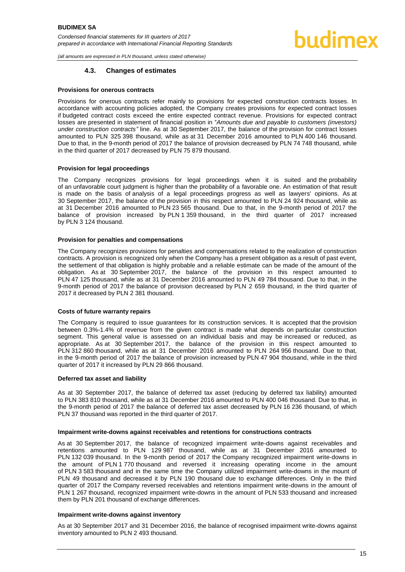#### **4.3. Changes of estimates**

#### <span id="page-15-0"></span>**Provisions for onerous contracts**

Provisions for onerous contracts refer mainly to provisions for expected construction contracts losses. In accordance with accounting policies adopted, the Company creates provisions for expected contract losses if budgeted contract costs exceed the entire expected contract revenue. Provisions for expected contract losses are presented in statement of financial position in "*Amounts due and payable to customers (investors) under construction contracts"* line. As at 30 September 2017, the balance of the provision for contract losses amounted to PLN 325 398 thousand, while as at 31 December 2016 amounted to PLN 400 146 thousand. Due to that, in the 9-month period of 2017 the balance of provision decreased by PLN 74 748 thousand, while in the third quarter of 2017 decreased by PLN 75 879 thousand.

#### **Provision for legal proceedings**

The Company recognizes provisions for legal proceedings when it is suited and the probability of an unfavorable court judgment is higher than the probability of a favorable one. An estimation of that result is made on the basis of analysis of a legal proceedings progress as well as lawyers' opinions. As at 30 September 2017, the balance of the provision in this respect amounted to PLN 24 924 thousand, while as at 31 December 2016 amounted to PLN 23 565 thousand. Due to that, in the 9-month period of 2017 the balance of provision increased by PLN 1 359 thousand, in the third quarter of 2017 increased by PLN 3 124 thousand.

#### **Provision for penalties and compensations**

The Company recognizes provisions for penalties and compensations related to the realization of construction contracts. A provision is recognized only when the Company has a present obligation as a result of past event, the settlement of that obligation is highly probable and a reliable estimate can be made of the amount of the obligation. As at 30 September 2017, the balance of the provision in this respect amounted to PLN 47 125 thousand, while as at 31 December 2016 amounted to PLN 49 784 thousand. Due to that, in the 9-month period of 2017 the balance of provision decreased by PLN 2 659 thousand, in the third quarter of 2017 it decreased by PLN 2 381 thousand.

#### **Costs of future warranty repairs**

The Company is required to issue guarantees for its construction services. It is accepted that the provision between 0.3%-1.4% of revenue from the given contract is made what depends on particular construction segment. This general value is assessed on an individual basis and may be increased or reduced, as appropriate. As at 30 September 2017, the balance of the provision in this respect amounted to PLN 312 860 thousand, while as at 31 December 2016 amounted to PLN 264 956 thousand. Due to that, in the 9-month period of 2017 the balance of provision increased by PLN 47 904 thousand, while in the third quarter of 2017 it increased by PLN 29 866 thousand.

#### **Deferred tax asset and liability**

As at 30 September 2017, the balance of deferred tax asset (reducing by deferred tax liability) amounted to PLN 383 810 thousand, while as at 31 December 2016 amounted to PLN 400 046 thousand. Due to that, in the 9-month period of 2017 the balance of deferred tax asset decreased by PLN 16 236 thousand, of which PLN 37 thousand was reported in the third quarter of 2017.

#### **Impairment write-downs against receivables and retentions for constructions contracts**

As at 30 September 2017, the balance of recognized impairment write-downs against receivables and retentions amounted to PLN 129 987 thousand, while as at 31 December 2016 amounted to PLN 132 039 thousand. In the 9-month period of 2017 the Company recognized impairment write-downs in the amount of PLN 1 770 thousand and reversed it increasing operating income in the amount of PLN 3 583 thousand and in the same time the Company utilized impairment write-downs in the mount of PLN 49 thousand and decreased it by PLN 190 thousand due to exchange differences. Only in the third quarter of 2017 the Company reversed receivables and retentions impairment write-downs in the amount of PLN 1 267 thousand, recognized impairment write-downs in the amount of PLN 533 thousand and increased them by PLN 201 thousand of exchange differences.

#### **Impairment write-downs against inventory**

As at 30 September 2017 and 31 December 2016, the balance of recognised impairment write-downs against inventory amounted to PLN 2 493 thousand.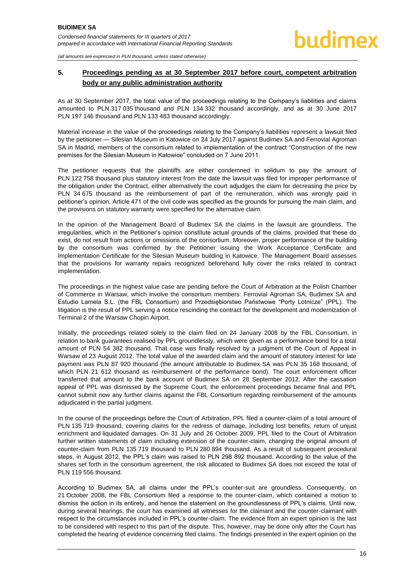#### <span id="page-16-0"></span>**5. Proceedings pending as at 30 September 2017 before court, competent arbitration body or any public administration authority**

As at 30 September 2017, the total value of the proceedings relating to the Company's liabilities and claims amounted to PLN 317 035 thousand and PLN 134 332 thousand accordingly, and as at 30 June 2017 PLN 197 146 thousand and PLN 133 483 thousand accordingly.

Material increase in the value of the proceedings relating to the Company's liabilities represent a lawsuit filed by the petitioner — Silesian Museum in Katowice on 24 July 2017 against Budimex SA and Ferrovial Agroman SA in Madrid, members of the consortium related to implementation of the contract "Construction of the new premises for the Silesian Museum in Katowice" concluded on 7 June 2011.

The petitioner requests that the plaintiffs are either condemned in solidum to pay the amount of PLN 122 758 thousand plus statutory interest from the date the lawsuit was filed for improper performance of the obligation under the Contract, either alternatively the court adjudges the claim for decreasing the price by PLN 34 675 thousand as the reimbursement of part of the remuneration, which was wrongly paid in petitioner's opinion. Article 471 of the civil code was specified as the grounds for pursuing the main claim, and the provisions on statutory warranty were specified for the alternative claim.

In the opinion of the Management Board of Budimex SA the claims in the lawsuit are groundless. The irregularities, which in the Petitioner's opinion constitute actual grounds of the claims, provided that these do exist, do not result from actions or omissions of the consortium. Moreover, proper performance of the building by the consortium was confirmed by the Petitioner issuing the Work Acceptance Certificate and Implementation Certificate for the Silesian Museum building in Katowice. The Management Board assesses that the provisions for warranty repairs recognized beforehand fully cover the risks related to contract implementation.

The proceedings in the highest value case are pending before the Court of Arbitration at the Polish Chamber of Commerce in Warsaw, which involve the consortium members: Ferrovial Agroman SA, Budimex SA and Estudio Lamela S.L. (the FBL Consortium) and Przedsiębiorstwo Państwowe "Porty Lotnicze" (PPL). The litigation is the result of PPL serving a notice rescinding the contract for the development and modernization of Terminal 2 of the Warsaw Chopin Airport.

Initially, the proceedings related solely to the claim filed on 24 January 2008 by the FBL Consortium, in relation to bank guarantees realised by PPL groundlessly, which were given as a performance bond for a total amount of PLN 54 382 thousand. That case was finally resolved by a judgment of the Court of Appeal in Warsaw of 23 August 2012. The total value of the awarded claim and the amount of statutory interest for late payment was PLN 87 920 thousand (the amount attributable to Budimex SA was PLN 35 168 thousand, of which PLN 21 612 thousand as reimbursement of the performance bond). The court enforcement officer transferred that amount to the bank account of Budimex SA on 28 September 2012. After the cassation appeal of PPL was dismissed by the Supreme Court, the enforcement proceedings became final and PPL cannot submit now any further claims against the FBL Consortium regarding reimbursement of the amounts adjudicated in the partial judgment.

In the course of the proceedings before the Court of Arbitration, PPL filed a counter-claim of a total amount of PLN 135 719 thousand, covering claims for the redress of damage, including lost benefits, return of unjust enrichment and liquidated damages. On 31 July and 26 October 2009, PPL filed to the Court of Arbitration further written statements of claim including extension of the counter-claim, changing the original amount of counter-claim from PLN 135 719 thousand to PLN 280 894 thousand. As a result of subsequent procedural steps, in August 2012, the PPL's claim was raised to PLN 298 892 thousand. According to the value of the shares set forth in the consortium agreement, the risk allocated to Budimex SA does not exceed the total of PLN 119 556 thousand.

According to Budimex SA, all claims under the PPL's counter-suit are groundless. Consequently, on 21 October 2008, the FBL Consortium filed a response to the counter-claim, which contained a motion to dismiss the action in its entirety, and hence the statement on the groundlessness of PPL's claims. Until now, during several hearings, the court has examined all witnesses for the claimant and the counter-claimant with respect to the circumstances included in PPL's counter-claim. The evidence from an expert opinion is the last to be considered with respect to this part of the dispute. This, however, may be done only after the Court has completed the hearing of evidence concerning filed claims. The findings presented in the expert opinion on the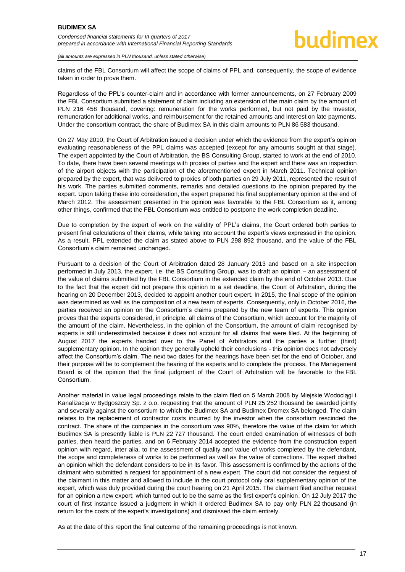*(all amounts are expressed in PLN thousand, unless stated otherwise)*

claims of the FBL Consortium will affect the scope of claims of PPL and, consequently, the scope of evidence taken in order to prove them.

Regardless of the PPL's counter-claim and in accordance with former announcements, on 27 February 2009 the FBL Consortium submitted a statement of claim including an extension of the main claim by the amount of PLN 216 458 thousand, covering: remuneration for the works performed, but not paid by the Investor, remuneration for additional works, and reimbursement for the retained amounts and interest on late payments. Under the consortium contract, the share of Budimex SA in this claim amounts to PLN 86 583 thousand.

On 27 May 2010, the Court of Arbitration issued a decision under which the evidence from the expert's opinion evaluating reasonableness of the PPL claims was accepted (except for any amounts sought at that stage). The expert appointed by the Court of Arbitration, the BS Consulting Group, started to work at the end of 2010. To date, there have been several meetings with proxies of parties and the expert and there was an inspection of the airport objects with the participation of the aforementioned expert in March 2011. Technical opinion prepared by the expert, that was delivered to proxies of both parties on 29 July 2011, represented the result of his work. The parties submitted comments, remarks and detailed questions to the opinion prepared by the expert. Upon taking these into consideration, the expert prepared his final supplementary opinion at the end of March 2012. The assessment presented in the opinion was favorable to the FBL Consortium as it, among other things, confirmed that the FBL Consortium was entitled to postpone the work completion deadline.

Due to completion by the expert of work on the validity of PPL's claims, the Court ordered both parties to present final calculations of their claims, while taking into account the expert's views expressed in the opinion. As a result, PPL extended the claim as stated above to PLN 298 892 thousand, and the value of the FBL Consortium's claim remained unchanged.

Pursuant to a decision of the Court of Arbitration dated 28 January 2013 and based on a site inspection performed in July 2013, the expert, i.e. the BS Consulting Group, was to draft an opinion – an assessment of the value of claims submitted by the FBL Consortium in the extended claim by the end of October 2013. Due to the fact that the expert did not prepare this opinion to a set deadline, the Court of Arbitration, during the hearing on 20 December 2013, decided to appoint another court expert. In 2015, the final scope of the opinion was determined as well as the composition of a new team of experts. Consequently, only in October 2016, the parties received an opinion on the Consortium's claims prepared by the new team of experts. This opinion proves that the experts considered, in principle, all claims of the Consortium, which account for the majority of the amount of the claim. Nevertheless, in the opinion of the Consortium, the amount of claim recognised by experts is still underestimated because it does not account for all claims that were filed. At the beginning of August 2017 the experts handed over to the Panel of Arbitrators and the parties a further (third) supplementary opinion. In the opinion they generally upheld their conclusions - this opinion does not adversely affect the Consortium's claim. The next two dates for the hearings have been set for the end of October, and their purpose will be to complement the hearing of the experts and to complete the process. The Management Board is of the opinion that the final judgment of the Court of Arbitration will be favorable to the FBL Consortium.

Another material in value legal proceedings relate to the claim filed on 5 March 2008 by Miejskie Wodociągi i Kanalizacja w Bydgoszczy Sp. z o.o. requesting that the amount of PLN 25 252 thousand be awarded jointly and severally against the consortium to which the Budimex SA and Budimex Dromex SA belonged. The claim relates to the replacement of contractor costs incurred by the investor when the consortium rescinded the contract. The share of the companies in the consortium was 90%, therefore the value of the claim for which Budimex SA is presently liable is PLN 22 727 thousand. The court ended examination of witnesses of both parties, then heard the parties, and on 6 February 2014 accepted the evidence from the construction expert opinion with regard, inter alia, to the assessment of quality and value of works completed by the defendant, the scope and completeness of works to be performed as well as the value of corrections. The expert drafted an opinion which the defendant considers to be in its favor. This assessment is confirmed by the actions of the claimant who submitted a request for appointment of a new expert. The court did not consider the request of the claimant in this matter and allowed to include in the court protocol only oral supplementary opinion of the expert, which was duly provided during the court hearing on 21 April 2015. The claimant filed another request for an opinion a new expert; which turned out to be the same as the first expert's opinion. On 12 July 2017 the court of first instance issued a judgment in which it ordered Budimex SA to pay only PLN 22 thousand (in return for the costs of the expert's investigations) and dismissed the claim entirely.

As at the date of this report the final outcome of the remaining proceedings is not known.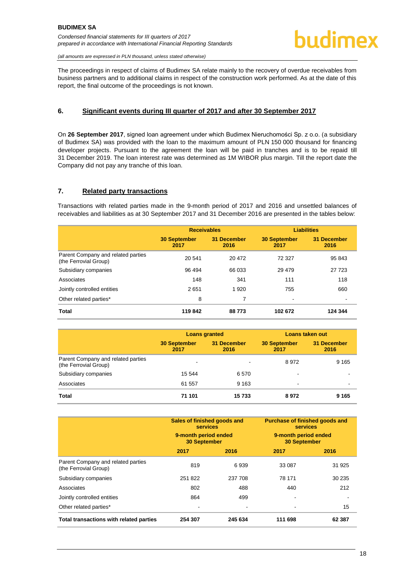The proceedings in respect of claims of Budimex SA relate mainly to the recovery of overdue receivables from business partners and to additional claims in respect of the construction work performed. As at the date of this report, the final outcome of the proceedings is not known.

#### <span id="page-18-0"></span>**6. Significant events during III quarter of 2017 and after 30 September 2017**

On **26 September 2017**, signed loan agreement under which Budimex Nieruchomości Sp. z o.o. (a subsidiary of Budimex SA) was provided with the loan to the maximum amount of PLN 150 000 thousand for financing developer projects. Pursuant to the agreement the loan will be paid in tranches and is to be repaid till 31 December 2019. The loan interest rate was determined as 1M WIBOR plus margin. Till the report date the Company did not pay any tranche of this loan.

#### <span id="page-18-1"></span>**7. Related party transactions**

Transactions with related parties made in the 9-month period of 2017 and 2016 and unsettled balances of receivables and liabilities as at 30 September 2017 and 31 December 2016 are presented in the tables below:

|                                                             | <b>Receivables</b>          |                     | <b>Liabilities</b>          |                     |
|-------------------------------------------------------------|-----------------------------|---------------------|-----------------------------|---------------------|
|                                                             | <b>30 September</b><br>2017 | 31 December<br>2016 | <b>30 September</b><br>2017 | 31 December<br>2016 |
| Parent Company and related parties<br>(the Ferrovial Group) | 20 541                      | 20 472              | 72 327                      | 95 843              |
| Subsidiary companies                                        | 96 494                      | 66 033              | 29 4 79                     | 27 723              |
| Associates                                                  | 148                         | 341                 | 111                         | 118                 |
| Jointly controlled entities                                 | 2651                        | 1 9 2 0             | 755                         | 660                 |
| Other related parties*                                      | 8                           | 7                   | $\,$                        |                     |
| <b>Total</b>                                                | 119842                      | 88773               | 102 672                     | 124 344             |

|                                                             | <b>Loans granted</b>        |                     | <b>Loans taken out</b>      |                            |
|-------------------------------------------------------------|-----------------------------|---------------------|-----------------------------|----------------------------|
|                                                             | <b>30 September</b><br>2017 | 31 December<br>2016 | <b>30 September</b><br>2017 | <b>31 December</b><br>2016 |
| Parent Company and related parties<br>(the Ferrovial Group) | $\overline{\phantom{a}}$    |                     | 8972                        | 9 1 6 5                    |
| Subsidiary companies                                        | 15 544                      | 6570                |                             | $\overline{\phantom{0}}$   |
| Associates                                                  | 61 557                      | 9 1 6 3             |                             | $\overline{\phantom{0}}$   |
| <b>Total</b>                                                | 71 101                      | 15733               | 8972                        | 9 1 6 5                    |

|                                                             | Sales of finished goods and<br><b>services</b><br>9-month period ended<br><b>30 September</b> |                          | <b>Purchase of finished goods and</b><br><b>services</b><br>9-month period ended<br><b>30 September</b> |        |
|-------------------------------------------------------------|-----------------------------------------------------------------------------------------------|--------------------------|---------------------------------------------------------------------------------------------------------|--------|
|                                                             | 2017                                                                                          | 2016                     | 2017                                                                                                    | 2016   |
| Parent Company and related parties<br>(the Ferrovial Group) | 819                                                                                           | 6939                     | 33 087                                                                                                  | 31 925 |
| Subsidiary companies                                        | 251822                                                                                        | 237 708                  | 78 171                                                                                                  | 30 235 |
| Associates                                                  | 802                                                                                           | 488                      | 440                                                                                                     | 212    |
| Jointly controlled entities                                 | 864                                                                                           | 499                      |                                                                                                         |        |
| Other related parties*                                      | $\overline{\phantom{a}}$                                                                      | $\overline{\phantom{0}}$ | -                                                                                                       | 15     |
| Total transactions with related parties                     | 254 307                                                                                       | 245 634                  | 111 698                                                                                                 | 62 387 |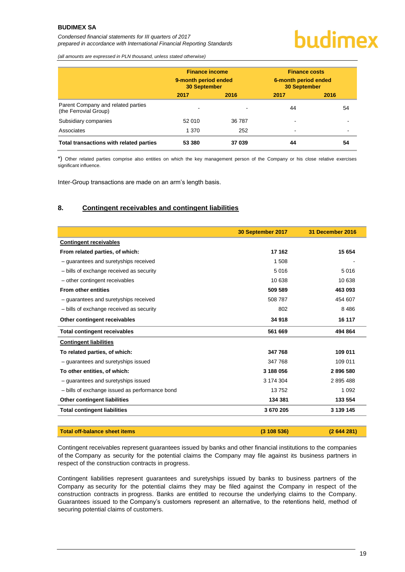#### **BUDIMEX SA**

*Condensed financial statements for III quarters of 2017 prepared in accordance with International Financial Reporting Standards*

### budimex

*(all amounts are expressed in PLN thousand, unless stated otherwise)*

|                                                             | <b>Finance income</b><br>9-month period ended<br><b>30 September</b> |        | <b>Finance costs</b><br>6-month period ended<br><b>30 September</b> |                          |
|-------------------------------------------------------------|----------------------------------------------------------------------|--------|---------------------------------------------------------------------|--------------------------|
|                                                             | 2017                                                                 | 2016   | 2017                                                                | 2016                     |
| Parent Company and related parties<br>(the Ferrovial Group) |                                                                      |        | 44                                                                  | 54                       |
| Subsidiary companies                                        | 52 010                                                               | 36 787 |                                                                     | $\overline{\phantom{0}}$ |
| Associates                                                  | 1 370                                                                | 252    | ۰                                                                   | $\overline{\phantom{a}}$ |
| Total transactions with related parties                     | 53 380                                                               | 37 039 | 44                                                                  | 54                       |

\*) Other related parties comprise also entities on which the key management person of the Company or his close relative exercises significant influence.

Inter-Group transactions are made on an arm's length basis.

#### <span id="page-19-0"></span>**8. Contingent receivables and contingent liabilities**

|                                                | 30 September 2017 | 31 December 2016 |
|------------------------------------------------|-------------------|------------------|
| <b>Contingent receivables</b>                  |                   |                  |
| From related parties, of which:                | 17 162            | 15 654           |
| - guarantees and suretyships received          | 1 508             |                  |
| - bills of exchange received as security       | 5016              | 5016             |
| - other contingent receivables                 | 10 638            | 10 638           |
| <b>From other entities</b>                     | 509 589           | 463 093          |
| - guarantees and suretyships received          | 508 787           | 454 607          |
| - bills of exchange received as security       | 802               | 8 4 8 6          |
| Other contingent receivables                   | 34 918            | 16 117           |
| <b>Total contingent receivables</b>            | 561 669           | 494 864          |
| <b>Contingent liabilities</b>                  |                   |                  |
| To related parties, of which:                  | 347768            | 109 011          |
| - guarantees and suretyships issued            | 347 768           | 109 011          |
| To other entities, of which:                   | 3 188 056         | 2896580          |
| - guarantees and suretyships issued            | 3 174 304         | 2895488          |
| - bills of exchange issued as performance bond | 13752             | 1 0 9 2          |
| Other contingent liabilities                   | 134 381           | 133 554          |
| <b>Total contingent liabilities</b>            | 3 670 205         | 3 139 145        |
|                                                |                   |                  |

| Total off-balance sheet items | (3108536) | (2644281) |
|-------------------------------|-----------|-----------|
|                               |           |           |

Contingent receivables represent guarantees issued by banks and other financial institutions to the companies of the Company as security for the potential claims the Company may file against its business partners in respect of the construction contracts in progress.

Contingent liabilities represent guarantees and suretyships issued by banks to business partners of the Company as security for the potential claims they may be filed against the Company in respect of the construction contracts in progress. Banks are entitled to recourse the underlying claims to the Company. Guarantees issued to the Company's customers represent an alternative, to the retentions held, method of securing potential claims of customers.